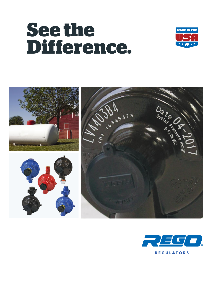# **See the Difference.**





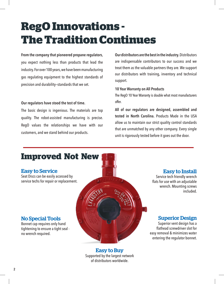# **RegO Innovations - The Tradition Continues**

#### **From the company that pioneered propane regulators**,

you expect nothing less than products that lead the industry. For over 100 years, we have been manufacturing gas regulating equipment to the highest standards of precision and durability—standards that we set.

#### **Our regulators have stood the test of time.**

The basic design is ingenious. The materials are top quality. The robot-assisted manufacturing is precise. RegO values the relationships we have with our customers, and we stand behind our products.

**Our distributors are the best in the industry.** Distributors are indispensable contributors to our success and we treat them as the valuable partners they are. We support our distributors with training, inventory and technical support.

#### **10 Year Warranty on All Products**

The RegO 10 Year Warranty is double what most manufacturers offer.

**All of our regulators are designed, assembled and tested in North Carolina.** Products Made in the USA allow us to maintain our strict quality control standards that are unmatched by any other company. Every single unit is rigorously tested before it goes out the door.



Easy to Buy Supported by the largest network of distributors worldwide.

# Easy to Install

Service tech friendly wrench flats for use with an adjustable wrench. Mounting screws included.

# Superior Design

Superior vent design has a flathead screwdriver slot for easy removal & minimizes water entering the regulator bonnet.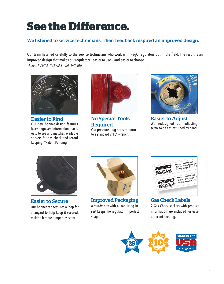# **See the Difference.**

## We listened to service technicians. Their feedback inspired an improved design.

Our team listened carefully to the service technicians who work with RegO regulators out in the field. The result is an improved design that makes our regulators\* easier to use — and easier to choose. *\*Series LV4403, LV404B4, and LV404B9.*



Easier to Find

Our new bonnet design features laser-engraved information that is easy to see and matches available stickers for gas check and record keeping. \*Patent Pending



No Special Tools **Required** Our pressure plug ports conform to a standard 7/16" wrench.



Easier to Adjust We redesigned our adjusting screw to be easily turned by hand.



Easier to Secure

Our bonnet cap features a loop for a lanyard to help keep it secured, making it more tamper resistant.



Improved Packaging A sturdy box with a stabilizing insert keeps the regulator in perfect shape.



Gas Check Labels 2 Gas Check stickers with product information are included for ease of record keeping.

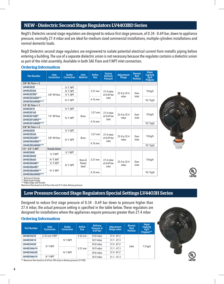#### NEW - Dielectric Second Stage Regulators LV4403BD Series

RegO's Dielectric second stage regulators are designed to reduce first stage pressure, of 0.34 - 0.69 bar, down to appliance pressure, normally 27.4 mbar and are ideal for medium sized commercial installations, multiple cylinders installations and normal domestic loads.

RegO Dielectric second stage regulators are engineered to isolate potential electrical current from metallic piping before entering a building. The use of a separate dielectric union is not necessary because the regulator contains a dielectric union as part of the inlet assembly. Available in both SAE Flare and F.NPT inlet connection.

#### Ordering Information

| <b>Part Number</b>   | <b>Inlet</b><br><b>Connection</b> | <b>Outlet</b><br><b>Connection</b> | <b>Inlet</b><br><b>Material</b> | <b>Orifice</b><br><b>Size</b> | <b>Factory</b><br><b>Delivery</b><br><b>Pressure</b> | <b>Adjustment</b><br>Range | <b>Bonnet</b><br><b>Vent</b><br><b>Position</b> | <b>Vapor</b><br><b>Capacity</b><br>Kq/h<br><b>Propane</b> |
|----------------------|-----------------------------------|------------------------------------|---------------------------------|-------------------------------|------------------------------------------------------|----------------------------|-------------------------------------------------|-----------------------------------------------------------|
| $3/8"$ M. Flare = 3  |                                   |                                    |                                 |                               |                                                      |                            |                                                 |                                                           |
| LV4403B3D            |                                   | $1/2$ " F. NPT                     |                                 |                               |                                                      |                            |                                                 |                                                           |
| LV4403B36D           |                                   | 3/4" F. NPT                        |                                 | 3.57 mm                       | 27.4 mbar                                            |                            |                                                 | 10 kg/h                                                   |
| LV4403B3RD*          | 3/8" M Flare                      | $1/2$ " F. NPT                     |                                 |                               | at 0.69 bar                                          | 22.4 to 32.4<br>mbar       | Over<br>Inlet                                   |                                                           |
| LV4403B36RAD**       |                                   |                                    |                                 | 4.76 mm                       | inlet                                                |                            |                                                 |                                                           |
| LV4403B36RABD***     |                                   | 3/4" F. NPT                        |                                 |                               |                                                      |                            |                                                 | $10.7$ kg/h                                               |
| $1/2$ " M. Flare = 1 |                                   |                                    |                                 |                               |                                                      |                            |                                                 |                                                           |
| LV4403B1D            |                                   | $1/2$ " F. NPT                     |                                 |                               | 27.4 mbar<br>at 0.69 bar<br>inlet                    |                            |                                                 |                                                           |
| LV4403B16D           |                                   |                                    | <b>Brass</b>                    | 3.57 mm                       |                                                      | 22.4 to 32.4<br>mbar       | Over<br>Inlet                                   | $10$ kg/h                                                 |
| LV4403B16RD*         | 1/2" M Flare                      | $3/4$ " F. NPT                     |                                 |                               |                                                      |                            |                                                 |                                                           |
| LV4403B16RAD**       |                                   |                                    |                                 | 4.76 mm                       |                                                      |                            |                                                 |                                                           |
| LV4403B16RABD***     |                                   |                                    |                                 |                               |                                                      |                            |                                                 | 10.7 kg/h                                                 |
| $5/8''$ M. Flare = 5 |                                   |                                    |                                 |                               |                                                      |                            |                                                 |                                                           |
| LV4403B5D            |                                   | $1/2$ " F. NPT                     |                                 |                               |                                                      |                            |                                                 |                                                           |
| LV4403B56D           |                                   |                                    | <b>Brass</b>                    | 3.57 mm                       | 27.4 mbar<br>at 0.69 bar                             | 22.4 to 32.4<br>mbar       | Over<br>Inlet                                   |                                                           |
| LV4403B56RD*         | 5/8" M Flare                      | 3/4" F. NPT                        |                                 |                               |                                                      |                            |                                                 | $10$ kg/h                                                 |
| LV4403B56RAD**       |                                   |                                    |                                 | 4.76 mm                       | inlet                                                |                            |                                                 |                                                           |
| LV4403B56RABD***     |                                   |                                    |                                 |                               |                                                      |                            |                                                 | $10.7$ kg/h                                               |
| $1/2" - 3/4"$ F. NPT | <b>Female Union</b>               |                                    |                                 |                               |                                                      |                            |                                                 |                                                           |
| LV4403B4D            | $1/2$ " F.NPT                     | $1/2$ " F.NPT                      |                                 |                               |                                                      |                            |                                                 |                                                           |
| LV4403B46D           |                                   |                                    |                                 |                               |                                                      |                            |                                                 |                                                           |
| LV4403B66D           | 3/4" F. NPT                       |                                    | Brass &                         | 3.57 mm                       | 27.4 mbar                                            |                            |                                                 | $10$ kg/h                                                 |
| LV4403B46RD*         | $1/2$ " F. NPT                    | $3/4$ " F. NPT                     | Plated                          |                               | at 0.69 bar                                          | 22.4 to 32.4<br>mbar       | Over<br>Inlet                                   |                                                           |
| LV4403B66RD*         |                                   |                                    | Steel                           |                               | inlet                                                |                            |                                                 |                                                           |
| LV4403B66RAD**       | 3/4" F. NPT                       |                                    |                                 | 4.76 mm                       |                                                      |                            |                                                 |                                                           |
| LV4403B66RABD***     |                                   |                                    |                                 |                               |                                                      |                            |                                                 | $10.7$ kg/h                                               |



Backmount Design.

\*\* Right Angle Design \*\*\*Right Angle with Bracket

Maximum flow based on 0.69 bar inlet and 22.4 mbar delivery pressure.

### Low Pressure Second Stage Regulators Special Settings LV4403H Series

Designed to reduce first stage pressure of 0.34 - 0.69 bar down to pressure higher than 27.4 mbar, the actual pressure setting is specified in the table below. These regulators are designed for installations where the appliances require pressures greater than 27.4 mbar

#### Ordering Information

| <b>Part Number</b> | <b>Inlet</b><br><b>Connection</b> | <b>Outlet</b><br><b>Connection</b> | <b>Orifice</b><br>Size | <b>Delivery</b><br>Pressure at<br>$0.69$ bar | Adjustment<br>Range mbar | <b>Bonnet</b><br><b>Vent</b><br><b>Position</b> | <b>Vapor</b><br>Capacity<br>kg/h<br>Propane** |            |
|--------------------|-----------------------------------|------------------------------------|------------------------|----------------------------------------------|--------------------------|-------------------------------------------------|-----------------------------------------------|------------|
| LV4403H222         | 6.35 mm F-NPT                     | $1/2$ " F-NPT                      | 5.56 mm                | 54.8 mbar                                    | $37.4 - 87.2$            |                                                 |                                               |            |
| LV4403H414         |                                   |                                    | $3.57$ mm              | 34.9 mbar                                    | $31.1 - 47.3$            |                                                 |                                               |            |
| LV4403H420         | $1/2$ " F-NPT                     |                                    |                        |                                              | 49.8 mbar                | $37.4 - 87.2$                                   | Inlet                                         | $7.5$ kg/h |
| LV4403H4614        |                                   | $3/4$ " F-NPT                      |                        | 34.9 mbar                                    | $31.1 - 47.3$            |                                                 |                                               |            |
| LV4403H4620        |                                   |                                    |                        | 49.8 mbar                                    | $37.4 - 87.2$            |                                                 |                                               |            |
| LV4403H6614        | $3/4$ " F-NPT                     |                                    |                        | 34.9 mbar                                    | $31.1 - 47.3$            |                                                 |                                               |            |



\*\* Maximum flow based on 0.69 bar 20% drop in delivery pressure (5/1/08)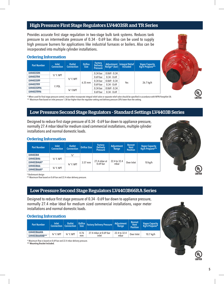#### High Pressure First Stage Regulators LV4403SR and TR Series

Provides accurate first stage regulation in two-stage bulk tank systems. Reduces tank pressure to an intermediate pressure of 0.34 - 0.69 bar. Also can be used to supply high pressure burners for applications like industrial furnaces or boilers. Also can be incorporated into multiple cylinder installations.

#### Ordering Information

| <b>Part Number</b> | <b>Inlet</b><br><b>Connection</b> | <b>Outlet</b><br><b>Connection</b> | <b>Orifice</b><br><b>Size</b> | <b>Factory</b><br><b>Delivery</b><br><b>Pressure</b> | Range* (bar)   | Adjustment   Integral Relief<br><b>Included</b> | <b>Vapor Capacity</b><br>Kg/h Propane** |
|--------------------|-----------------------------------|------------------------------------|-------------------------------|------------------------------------------------------|----------------|-------------------------------------------------|-----------------------------------------|
| LV4403SR4          |                                   |                                    | $6.35$ mm                     | $0.34$ bar                                           | $0.069 - 0.34$ | Yes                                             | 26.7 kg/h                               |
| LV4403TR4          | $1/2$ " F. NPT                    |                                    |                               | $0.69$ bar                                           | $0.34 - 0.69$  |                                                 |                                         |
| LV4403SR9          |                                   | $1/2$ " F. NPT                     |                               | $0.34$ bar                                           | $0.069 - 0.34$ |                                                 |                                         |
| <b>LV4403TR9</b>   |                                   |                                    |                               | $0.69$ bar                                           | $0.34 - 0.69$  |                                                 |                                         |
| LV4403SR96         | F. POL                            | $3/4$ " F.NPT                      |                               | $0.34$ bar                                           | $0.069 - 0.34$ |                                                 |                                         |
| LV4403TR96         |                                   |                                    |                               | $0.69$ bar                                           | $0.34 - 0.69$  |                                                 |                                         |

\* When used for final stage pressure control, must either incorporate integral relief valve or separate relief valve should be specified in accordance with NFPA Pamphlet 58. \*\* Maximum flow based on inlet pressure 1.38 bar higher than the regulator setting and delivery pressure 20% lower than the setting.

## Low Pressure Second Stage Regulators - Standard Settings LV4403B Series

Designed to reduce first stage pressure of 0.34 - 0.69 bar down to appliance pressure, normally 27.4 mbar Ideal for medium sized commercial installations, multiple cylinder installations and normal domestic loads.

#### Ordering Information

| <b>Part Number</b> | <b>Inlet</b><br><b>Connection</b> | Outlet<br><b>Connection</b> | Orifice Size | <b>Factory</b><br><b>Delivery</b><br><b>Pressure</b> | <b>Adiustment</b><br>Range | <b>Bonnet</b><br><b>Vent</b><br><b>Position</b> | <b>Vapor Capacity</b><br>Kg/h Propane** |  |  |
|--------------------|-----------------------------------|-----------------------------|--------------|------------------------------------------------------|----------------------------|-------------------------------------------------|-----------------------------------------|--|--|
| LV4403B4           | $1/2$ " F. NPT                    | $\frac{1}{2}$ "             |              |                                                      |                            |                                                 |                                         |  |  |
| LV4403B46          |                                   |                             |              |                                                      |                            |                                                 |                                         |  |  |
| LV4403B46R*        |                                   |                             | $3.57$ mm    | 27.4 mbar at<br>0.69 <sub>bar</sub>                  | 22.4 to 32.4<br>mbar       | Over Inlet                                      | $10$ kg/h                               |  |  |
| LV4403B66          |                                   | $3/4$ " F. NPT              |              |                                                      |                            |                                                 |                                         |  |  |
| LV4403B66R*        | $3/4$ " F. NPT                    |                             |              |                                                      |                            |                                                 |                                         |  |  |



\* Backmount design

\*\* Maximum flow based on 0.69 bar and 22.4 mbar delivery pressure.

#### Low Pressure Second Stage Regulators LV4403B66RA Series

Designed to reduce first stage pressure of 0.34 - 0.69 bar down to appliance pressure, normally 27.4 mbar Ideal for medium sized commercial installations, vapor meter installations and normal domestic loads.

#### Ordering Information **Part Number Inlet Connection Outlet Connection Orifice Size Factory Delivery Pressure Adjustment Range Bonnet Vent Position Vapor Capacity Kg/h Propane\* LV4403B66RA**  $\frac{3}{4}$ " F. NPT  $\frac{3}{4}$ " F. NPT  $\frac{4.76}{4}$ mm 27.4 mbar at 0.69 bar inlet 22.4 to 32.4 **LV4403B66RAB\*\*** 3<sup>4"</sup> F. NPT 34" F. NPT  $\begin{array}{|c|c|c|c|c|c|c|c|c|} \hline 34" & F. & P. & P. & P. & P. & P. \ \hline \end{array}$  **LV4403B66RAB\*\*** 34" F. NPT 34" F. NPT mm inlet that mbar 0ver Inlet 10.7 kg/h

\* Maximum flow is based on 0.69 bar and 22.4 mbar delivery pressure.

**\*\* Mounting Bracket Included.**

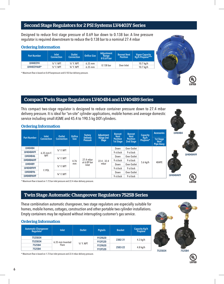#### Second Stage Regulators for 2 PSI Systems LV4403Y Series

Designed to reduce first stage pressure of 0.69 bar down to 0.138 bar. A line pressure regulator is required downstream to reduce the 0.138 bar to a nominal 27.4 mbar

#### Ordering Information

| <b>Part Number</b> | <b>Inlet</b><br><b>Connection</b> | Outlet<br><b>Connection</b> | <b>Orifice Size</b> | <b>Adiustment</b><br><b>Range</b><br>$0.69$ bar | <b>Bonnet Vent</b><br><b>Position</b> | Vapor Capacity<br>Kg/h Propane*** |
|--------------------|-----------------------------------|-----------------------------|---------------------|-------------------------------------------------|---------------------------------------|-----------------------------------|
| LV4403Y4           | $1/2$ " F. NPT                    | $1/2$ " F. NPT              | $6.35$ mm           |                                                 |                                       | $10.7$ kg/h                       |
| LV4403Y46R*        | $1/2$ " F. NPT                    | 3/4" F. NPT                 | 6.35 mm             | 0.138 bar                                       | Over Inlet                            | $10.7$ kg/h                       |

\* Maximum flow is based on 0.69 barpressure and 0.103 bar delivery pressure.

#### Compact Twin Stage Regulators LV404B4 and LV404B9 Series

This compact two-stage regulator is designed to reduce container pressure down to 27.4 mbar delivery pressure. It is ideal for "on-site" cylinder applications, mobile homes and average domestic

#### service including small ASME and 45.4 to 190.5 kg DOT cylinders. Ordering Information **LV404B4 Accessories Bonnet Vent Bonnet Vent Position Adjustment Connection Factory Delivery Pressure Capacity Kg/h Outlet Connection Orifice Size Part Number Range 2nd Stage Position 1st Stage Propane\* 1st Stage 2nd Stage Vent Pipe-Away LV404B4** Down | Over Outlet ½" F. NPT 6.35 mm F. **LV404B4V9** 9 o'clock 9 o'clock **LV404B4V9 LV404B46** NPT  $\frac{3}{4}$ " F. NPT 27 A mbar Down Over Outlet 27.4 mbar 22.4 - 32.4 **LV404B46V9** 9 o'clock 9 o'clock 4.76 5.6 kg/h 404PE at 6.89 bar **LV404B9** mm mbar ½" F. NPT Down Over Outlet Inlet **LV404B9V9** 9 o'clock 9 o'clock F. POL **LV404B96** ¾" F. NPT Down Over Outlet **LV404B4V9 LV404B96V9** 9 o'clock 9 o'clock <u>yr</u>

\* Maximum flow is based on 1.72 bar inlet pressure and 22.4 mbar delivery pressure.

#### Twin Stage Automatic Changeover Regulators 7525B Series

These combination automatic changeover, two stage regulators are especially suitable for homes, mobile homes, cottages, construction and other portable two cylinder installations. Empty containers may be replaced without interrupting customer's gas service.

# **7525B34 7525B4**

#### Ordering Information

| <b>Automatic Changeover</b><br>Regulator | <b>Inlet</b>     | Outlet         | <b>Pigtails</b> | <b>Bracket</b> | <b>Capacity Kg/h</b><br>Propane |
|------------------------------------------|------------------|----------------|-----------------|----------------|---------------------------------|
| 7525B34                                  |                  | $1/2$ " F. NPT | <b>912FA20</b>  |                | $4.3$ kg/h                      |
| 7525B34                                  | 6.35 mm Inverted |                | 912FS20         | 2302-31        |                                 |
| 7525B4                                   | Flare            |                | <b>912FA20</b>  |                |                                 |
| 7525B4                                   |                  |                | 912FS20         | 2503-22        | $4.8$ kg/h                      |

\* Maximum flow is based on 1.72 bar inlet pressure and 22.4 mbar delivery pressure.

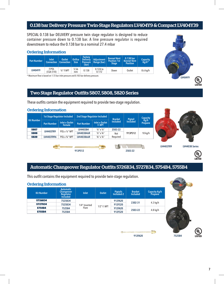# 0.138 bar Delivery Pressure Twin-Stage Regulators LV404Y9 & Compact LV404Y39

SPECIAL 0.138 bar DELIVERY pressure twin stage regulator is designed to reduce container pressure down to 0.138 bar. A line pressure regulator is required downstream to reduce the 0.138 bar to a nominal 27.4 mbar

#### Ordering Information

| <b>Part Number</b> | Inlet              | <b>Outlet</b><br>Connection   Connection , | Orifice<br><b>Size</b> | <b>Factory</b><br><b>Delivery</b><br>Pressure<br>(bar) | Adjustment  <br>$\blacksquare$ Range (bar) | <b>Bonnet Vent</b><br><b>Position 1st</b><br>Stage | 0.138 bar<br><b>Bonnet Vent</b><br><b>Position</b> | Capacity<br>  Kg/h* |
|--------------------|--------------------|--------------------------------------------|------------------------|--------------------------------------------------------|--------------------------------------------|----------------------------------------------------|----------------------------------------------------|---------------------|
| <b>LV404Y9</b>     | F.POL<br>(CGA 510) | $1/2$ " F.NPT                              | 5.56<br>mm             | 0.138                                                  | $0.124$ to<br>0.172                        | Down                                               | Outlet                                             | 8.6 kg/h            |

\* Maximum flow is based on 1.72 bar inlet pressure and 0.103 bar delivery pressure.

#### Two Stage Regulator Outfits 5807, 5808, 5820 Series

These outfits contain the equipment required to provide two-stage regulation.

#### Ordering Information **LV4403TR9 LV4403B Series Kit Number 1st Stage Regulator Included 2nd Stage Regulator Included Bracket Included Included Capacity Kg/h Part Number** | Inlet x Outlet | Part Number **Female Part Number Inlet x Outlet F. NPT 5807 LV4403TR9 POL x 1/2" NPT LV4403B4 1/2" x 1/2" 2503-22 5808 LV4403B46R 1/2" x 3/4"** Not **5808 Light Community Community Community 2013PS12 <b>LV4403B46R**  $\frac{1}{2}$  12 x 34" Not **913PS12** 10 kg/h **5820 LV4403TR96 POL x 3/4" NPT LV4403B66R**  $\frac{3}{4}$ " x 3/4" Required **913PS12 2503-22**

## Automatic Changeover Regulator Outfits 5726B34, 5727B34, 5754B4, 5755B4

This outfit contains the equipment required to provide twin-stage regulation.

#### Ordering Information

| Pigtails<br>Included-2          | <b>Included</b> | Capacity Kg/h<br>Propane |
|---------------------------------|-----------------|--------------------------|
| 912FA20                         | 2302-31         | $4.3$ kg/h               |
| 912FS20                         |                 |                          |
| 912FA20                         |                 |                          |
| 912FS20                         |                 | $4.8$ kg/h               |
| 1/4" Inverted<br>$1/2$ " F. NPT |                 | 2503-22                  |



**LV404Y9**

(VL



**UL I ISTED**